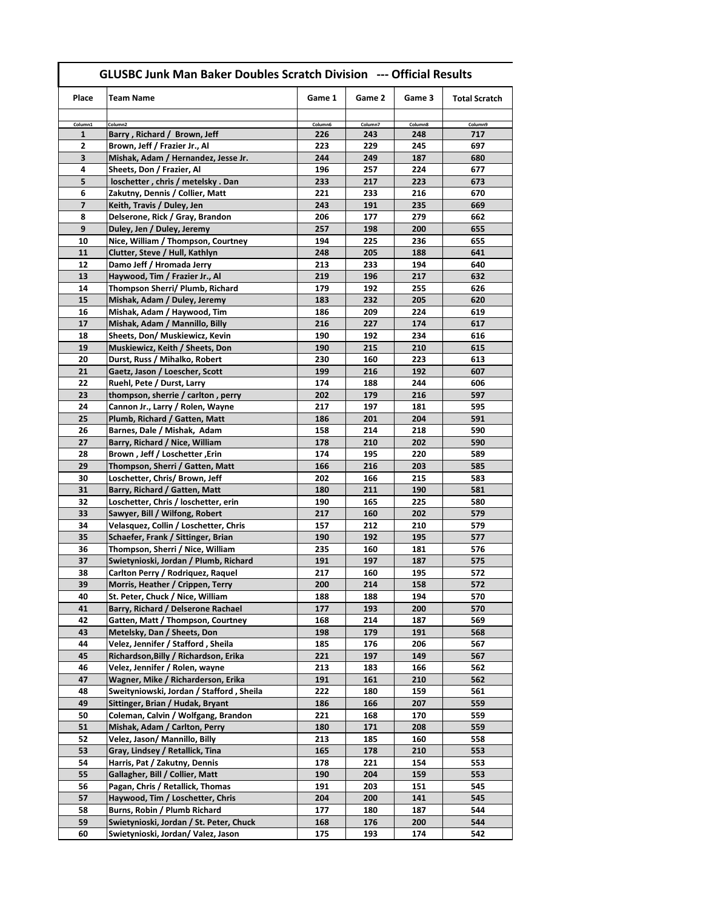| Place                   | Team Name                                                               | Game 1     | Game 2     | Game 3     | <b>Total Scratch</b> |
|-------------------------|-------------------------------------------------------------------------|------------|------------|------------|----------------------|
|                         |                                                                         |            |            |            |                      |
| Column1                 | Column <sub>2</sub>                                                     | Column6    | Column7    | Column8    | Column9              |
| 1                       | Barry, Richard / Brown, Jeff                                            | 226        | 243        | 248        | 717                  |
| 2                       | Brown, Jeff / Frazier Jr., Al                                           | 223        | 229        | 245        | 697                  |
| 3                       | Mishak, Adam / Hernandez, Jesse Jr.                                     | 244        | 249        | 187        | 680                  |
| 4                       | Sheets, Don / Frazier, Al                                               | 196        | 257        | 224        | 677                  |
| 5                       | loschetter, chris / metelsky. Dan                                       | 233        | 217        | 223        | 673                  |
| 6                       | Zakutny, Dennis / Collier, Matt                                         | 221        | 233        | 216        | 670                  |
| $\overline{\mathbf{z}}$ | Keith, Travis / Duley, Jen                                              | 243        | 191<br>177 | 235        | 669                  |
| 8                       | Delserone, Rick / Gray, Brandon                                         | 206        |            | 279        | 662                  |
| 9<br>10                 | Duley, Jen / Duley, Jeremy<br>Nice, William / Thompson, Courtney        | 257<br>194 | 198<br>225 | 200<br>236 | 655<br>655           |
| 11                      | Clutter, Steve / Hull, Kathlyn                                          | 248        | 205        | 188        | 641                  |
| 12                      | Damo Jeff / Hromada Jerry                                               | 213        | 233        | 194        | 640                  |
| 13                      | Haywood, Tim / Frazier Jr., Al                                          | 219        | 196        | 217        | 632                  |
| 14                      | Thompson Sherri/ Plumb, Richard                                         | 179        | 192        | 255        | 626                  |
| 15                      | Mishak, Adam / Duley, Jeremy                                            | 183        | 232        | 205        | 620                  |
| 16                      | Mishak, Adam / Haywood, Tim                                             | 186        | 209        | 224        | 619                  |
| 17                      | Mishak, Adam / Mannillo, Billy                                          | 216        | 227        | 174        | 617                  |
| 18                      | Sheets, Don/ Muskiewicz, Kevin                                          | 190        | 192        | 234        | 616                  |
| 19                      | Muskiewicz, Keith / Sheets, Don                                         | 190        | 215        | 210        | 615                  |
| 20                      | Durst, Russ / Mihalko, Robert                                           | 230        | 160        | 223        | 613                  |
| 21                      | Gaetz, Jason / Loescher, Scott                                          | 199        | 216        | 192        | 607                  |
| 22                      | Ruehl, Pete / Durst, Larry                                              | 174        | 188        | 244        | 606                  |
| 23                      | thompson, sherrie / carlton, perry                                      | 202        | 179        | 216        | 597                  |
| 24                      | Cannon Jr., Larry / Rolen, Wayne                                        | 217        | 197        | 181        | 595                  |
| 25                      | Plumb, Richard / Gatten, Matt                                           | 186        | 201        | 204        | 591                  |
| 26                      | Barnes, Dale / Mishak, Adam                                             | 158        | 214        | 218        | 590                  |
| 27                      | Barry, Richard / Nice, William                                          | 178        | 210        | 202        | 590                  |
| 28                      | Brown, Jeff / Loschetter, Erin                                          | 174        | 195        | 220        | 589                  |
| 29                      | Thompson, Sherri / Gatten, Matt                                         | 166        | 216        | 203        | 585                  |
| 30                      | Loschetter, Chris/ Brown, Jeff                                          | 202        | 166        | 215        | 583                  |
| 31                      | Barry, Richard / Gatten, Matt                                           | 180        | 211        | 190        | 581                  |
| 32                      | Loschetter, Chris / loschetter, erin                                    | 190        | 165        | 225        | 580                  |
| 33                      | Sawyer, Bill / Wilfong, Robert                                          | 217        | 160        | 202        | 579                  |
| 34                      | Velasquez, Collin / Loschetter, Chris                                   | 157        | 212        | 210        | 579                  |
| 35                      | Schaefer, Frank / Sittinger, Brian                                      | 190        | 192        | 195        | 577                  |
| 36                      | Thompson, Sherri / Nice, William                                        | 235        | 160        | 181        | 576                  |
| 37                      | Swietynioski, Jordan / Plumb, Richard                                   | 191        | 197        | 187        | 575                  |
| 38                      | Carlton Perry / Rodriquez, Raquel                                       | 217        | 160        | 195        | 572                  |
| 39                      | Morris, Heather / Crippen, Terry                                        | 200        | 214        | 158        | 572                  |
| 40                      | St. Peter, Chuck / Nice, William                                        | 188        | 188        | 194        | 570                  |
| 41<br>42                | Barry, Richard / Delserone Rachael<br>Gatten, Matt / Thompson, Courtney | 177        | 193<br>214 | 200        | 570                  |
| 43                      | Metelsky, Dan / Sheets, Don                                             | 168<br>198 | 179        | 187<br>191 | 569<br>568           |
| 44                      | Velez, Jennifer / Stafford, Sheila                                      | 185        | 176        | 206        | 567                  |
| 45                      | Richardson, Billy / Richardson, Erika                                   | 221        | 197        | 149        | 567                  |
| 46                      | Velez, Jennifer / Rolen, wayne                                          | 213        | 183        | 166        | 562                  |
| 47                      | Wagner, Mike / Richarderson, Erika                                      | 191        | 161        | 210        | 562                  |
| 48                      | Sweityniowski, Jordan / Stafford, Sheila                                | 222        | 180        | 159        | 561                  |
| 49                      | Sittinger, Brian / Hudak, Bryant                                        | 186        | 166        | 207        | 559                  |
| 50                      | Coleman, Calvin / Wolfgang, Brandon                                     | 221        | 168        | 170        | 559                  |
| 51                      | Mishak, Adam / Carlton, Perry                                           | 180        | 171        | 208        | 559                  |
| 52                      | Velez, Jason/ Mannillo, Billy                                           | 213        | 185        | 160        | 558                  |
| 53                      | Gray, Lindsey / Retallick, Tina                                         | 165        | 178        | 210        | 553                  |
| 54                      | Harris, Pat / Zakutny, Dennis                                           | 178        | 221        | 154        | 553                  |
| 55                      | Gallagher, Bill / Collier, Matt                                         | 190        | 204        | 159        | 553                  |
| 56                      | Pagan, Chris / Retallick, Thomas                                        | 191        | 203        | 151        | 545                  |
| 57                      | Haywood, Tim / Loschetter, Chris                                        | 204        | 200        | 141        | 545                  |
| 58                      | Burns, Robin / Plumb Richard                                            | 177        | 180        | 187        | 544                  |
| 59                      | Swietynioski, Jordan / St. Peter, Chuck                                 | 168        | 176        | 200        | 544                  |
| 60                      | Swietynioski, Jordan/ Valez, Jason                                      | 175        | 193        | 174        | 542                  |

## **GLUSBC Junk Man Baker Doubles Scratch Division --- Official Results**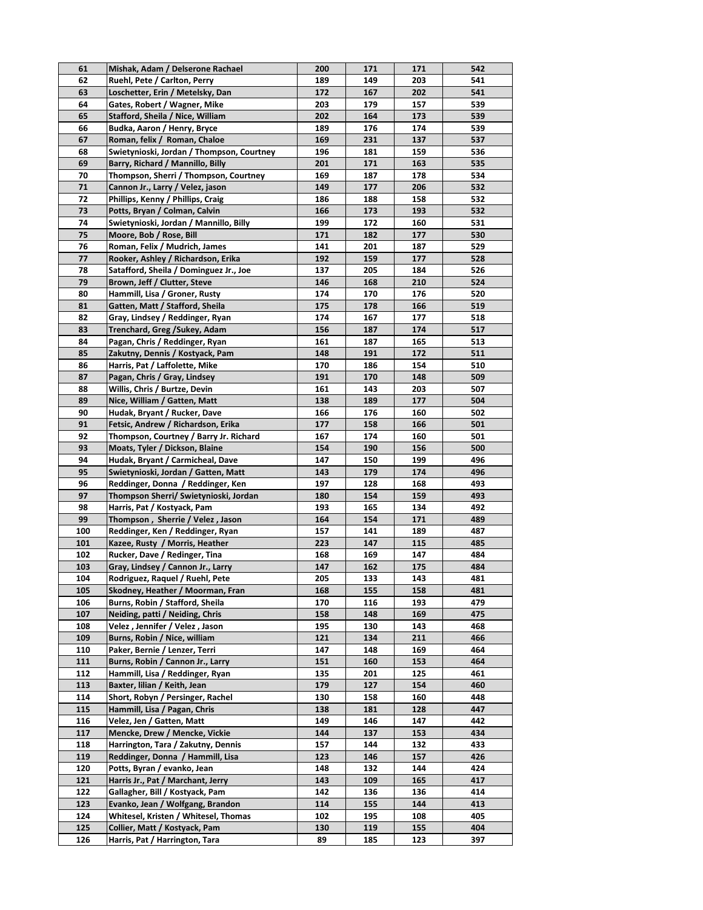| 61  | Mishak, Adam / Delserone Rachael          | 200 | 171 | 171 | 542 |
|-----|-------------------------------------------|-----|-----|-----|-----|
| 62  | Ruehl, Pete / Carlton, Perry              | 189 | 149 | 203 | 541 |
| 63  | Loschetter, Erin / Metelsky, Dan          | 172 | 167 | 202 | 541 |
| 64  | Gates, Robert / Wagner, Mike              | 203 | 179 | 157 | 539 |
| 65  | Stafford, Sheila / Nice, William          | 202 | 164 | 173 | 539 |
| 66  | Budka, Aaron / Henry, Bryce               | 189 | 176 | 174 | 539 |
| 67  | Roman, felix / Roman, Chaloe              | 169 | 231 | 137 | 537 |
| 68  | Swietynioski, Jordan / Thompson, Courtney | 196 | 181 | 159 | 536 |
| 69  | Barry, Richard / Mannillo, Billy          | 201 | 171 | 163 | 535 |
| 70  | Thompson, Sherri / Thompson, Courtney     | 169 | 187 | 178 | 534 |
| 71  | Cannon Jr., Larry / Velez, jason          | 149 | 177 | 206 | 532 |
| 72  | Phillips, Kenny / Phillips, Craig         | 186 | 188 | 158 | 532 |
| 73  | Potts, Bryan / Colman, Calvin             | 166 | 173 | 193 | 532 |
| 74  | Swietynioski, Jordan / Mannillo, Billy    | 199 | 172 | 160 | 531 |
| 75  | Moore, Bob / Rose, Bill                   | 171 | 182 | 177 | 530 |
| 76  |                                           | 141 | 201 | 187 | 529 |
|     | Roman, Felix / Mudrich, James             |     |     |     |     |
| 77  | Rooker, Ashley / Richardson, Erika        | 192 | 159 | 177 | 528 |
| 78  | Satafford, Sheila / Dominguez Jr., Joe    | 137 | 205 | 184 | 526 |
| 79  | Brown, Jeff / Clutter, Steve              | 146 | 168 | 210 | 524 |
| 80  | Hammill, Lisa / Groner, Rusty             | 174 | 170 | 176 | 520 |
| 81  | Gatten, Matt / Stafford, Sheila           | 175 | 178 | 166 | 519 |
| 82  | Gray, Lindsey / Reddinger, Ryan           | 174 | 167 | 177 | 518 |
| 83  | Trenchard, Greg /Sukey, Adam              | 156 | 187 | 174 | 517 |
| 84  | Pagan, Chris / Reddinger, Ryan            | 161 | 187 | 165 | 513 |
| 85  | Zakutny, Dennis / Kostyack, Pam           | 148 | 191 | 172 | 511 |
| 86  | Harris, Pat / Laffolette, Mike            | 170 | 186 | 154 | 510 |
| 87  | Pagan, Chris / Gray, Lindsey              | 191 | 170 | 148 | 509 |
| 88  | Willis, Chris / Burtze, Devin             | 161 | 143 | 203 | 507 |
| 89  | Nice, William / Gatten, Matt              | 138 | 189 | 177 | 504 |
| 90  | Hudak, Bryant / Rucker, Dave              | 166 | 176 | 160 | 502 |
| 91  | Fetsic, Andrew / Richardson, Erika        | 177 | 158 | 166 | 501 |
| 92  | Thompson, Courtney / Barry Jr. Richard    | 167 | 174 | 160 | 501 |
| 93  | Moats, Tyler / Dickson, Blaine            | 154 | 190 | 156 | 500 |
| 94  | Hudak, Bryant / Carmicheal, Dave          | 147 | 150 | 199 | 496 |
| 95  | Swietynioski, Jordan / Gatten, Matt       | 143 | 179 | 174 | 496 |
| 96  | Reddinger, Donna / Reddinger, Ken         | 197 | 128 | 168 | 493 |
| 97  | Thompson Sherri/ Swietynioski, Jordan     | 180 | 154 | 159 | 493 |
| 98  | Harris, Pat / Kostyack, Pam               | 193 | 165 | 134 | 492 |
| 99  | Thompson, Sherrie / Velez, Jason          | 164 | 154 | 171 | 489 |
| 100 | Reddinger, Ken / Reddinger, Ryan          | 157 | 141 | 189 | 487 |
| 101 | Kazee, Rusty / Morris, Heather            | 223 | 147 | 115 | 485 |
| 102 | Rucker, Dave / Redinger, Tina             | 168 | 169 | 147 | 484 |
| 103 | Gray, Lindsey / Cannon Jr., Larry         | 147 | 162 | 175 | 484 |
| 104 | Rodriguez, Raquel / Ruehl, Pete           | 205 | 133 | 143 | 481 |
| 105 | Skodney, Heather / Moorman, Fran          | 168 | 155 | 158 | 481 |
| 106 | Burns, Robin / Stafford, Sheila           | 170 | 116 | 193 | 479 |
| 107 | Neiding, patti / Neiding, Chris           | 158 | 148 | 169 | 475 |
| 108 | Velez, Jennifer / Velez, Jason            | 195 | 130 | 143 | 468 |
| 109 | Burns, Robin / Nice, william              | 121 | 134 | 211 | 466 |
| 110 | Paker, Bernie / Lenzer, Terri             | 147 | 148 | 169 | 464 |
| 111 | Burns, Robin / Cannon Jr., Larry          | 151 | 160 | 153 | 464 |
| 112 | Hammill, Lisa / Reddinger, Ryan           | 135 | 201 | 125 | 461 |
|     |                                           |     |     |     |     |
| 113 | Baxter, lilian / Keith, Jean              | 179 | 127 | 154 | 460 |
| 114 | Short, Robyn / Persinger, Rachel          | 130 | 158 | 160 | 448 |
| 115 | Hammill, Lisa / Pagan, Chris              | 138 | 181 | 128 | 447 |
| 116 | Velez, Jen / Gatten, Matt                 | 149 | 146 | 147 | 442 |
| 117 | Mencke, Drew / Mencke, Vickie             | 144 | 137 | 153 | 434 |
| 118 | Harrington, Tara / Zakutny, Dennis        | 157 | 144 | 132 | 433 |
| 119 | Reddinger, Donna / Hammill, Lisa          | 123 | 146 | 157 | 426 |
| 120 | Potts, Byran / evanko, Jean               | 148 | 132 | 144 | 424 |
| 121 | Harris Jr., Pat / Marchant, Jerry         | 143 | 109 | 165 | 417 |
| 122 | Gallagher, Bill / Kostyack, Pam           | 142 | 136 | 136 | 414 |
| 123 | Evanko, Jean / Wolfgang, Brandon          | 114 | 155 | 144 | 413 |
| 124 | Whitesel, Kristen / Whitesel, Thomas      | 102 | 195 | 108 | 405 |
| 125 | Collier, Matt / Kostyack, Pam             | 130 | 119 | 155 | 404 |
| 126 | Harris, Pat / Harrington, Tara            | 89  | 185 | 123 | 397 |